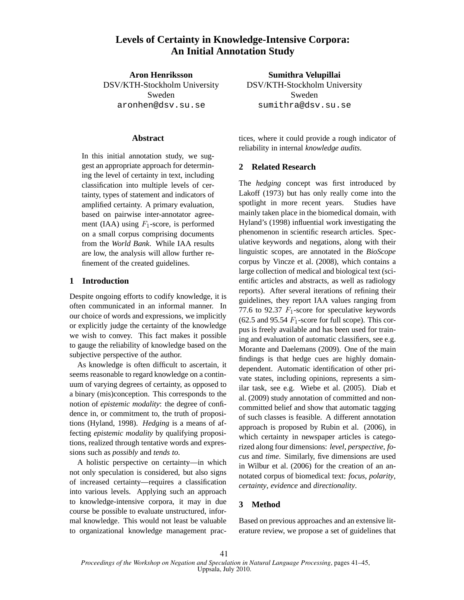# **Levels of Certainty in Knowledge-Intensive Corpora: An Initial Annotation Study**

**Aron Henriksson** DSV/KTH-Stockholm University Sweden aronhen@dsv.su.se

### **Abstract**

In this initial annotation study, we suggest an appropriate approach for determining the level of certainty in text, including classification into multiple levels of certainty, types of statement and indicators of amplified certainty. A primary evaluation, based on pairwise inter-annotator agreement (IAA) using  $F_1$ -score, is performed on a small corpus comprising documents from the *World Bank*. While IAA results are low, the analysis will allow further refinement of the created guidelines.

# **1 Introduction**

Despite ongoing efforts to codify knowledge, it is often communicated in an informal manner. In our choice of words and expressions, we implicitly or explicitly judge the certainty of the knowledge we wish to convey. This fact makes it possible to gauge the reliability of knowledge based on the subjective perspective of the author.

As knowledge is often difficult to ascertain, it seems reasonable to regard knowledge on a continuum of varying degrees of certainty, as opposed to a binary (mis)conception. This corresponds to the notion of *epistemic modality*: the degree of confidence in, or commitment to, the truth of propositions (Hyland, 1998). *Hedging* is a means of affecting *epistemic modality* by qualifying propositions, realized through tentative words and expressions such as *possibly* and *tends to*.

A holistic perspective on certainty—in which not only speculation is considered, but also signs of increased certainty—requires a classification into various levels. Applying such an approach to knowledge-intensive corpora, it may in due course be possible to evaluate unstructured, informal knowledge. This would not least be valuable to organizational knowledge management prac-

**Sumithra Velupillai** DSV/KTH-Stockholm University Sweden sumithra@dsv.su.se

tices, where it could provide a rough indicator of reliability in internal *knowledge audits*.

# **2 Related Research**

The *hedging* concept was first introduced by Lakoff (1973) but has only really come into the spotlight in more recent years. Studies have mainly taken place in the biomedical domain, with Hyland's (1998) influential work investigating the phenomenon in scientific research articles. Speculative keywords and negations, along with their linguistic scopes, are annotated in the *BioScope* corpus by Vincze et al. (2008), which contains a large collection of medical and biological text (scientific articles and abstracts, as well as radiology reports). After several iterations of refining their guidelines, they report IAA values ranging from 77.6 to 92.37  $F_1$ -score for speculative keywords  $(62.5 \text{ and } 95.54 \text{ } F_1 \text{-score}$  for full scope). This corpus is freely available and has been used for training and evaluation of automatic classifiers, see e.g. Morante and Daelemans (2009). One of the main findings is that hedge cues are highly domaindependent. Automatic identification of other private states, including opinions, represents a similar task, see e.g. Wiebe et al. (2005). Diab et al. (2009) study annotation of committed and noncommitted belief and show that automatic tagging of such classes is feasible. A different annotation approach is proposed by Rubin et al. (2006), in which certainty in newspaper articles is categorized along four dimensions: *level*, *perspective*, *focus* and *time*. Similarly, five dimensions are used in Wilbur et al. (2006) for the creation of an annotated corpus of biomedical text: *focus*, *polarity*, *certainty*, *evidence* and *directionality*.

# **3 Method**

Based on previous approaches and an extensive literature review, we propose a set of guidelines that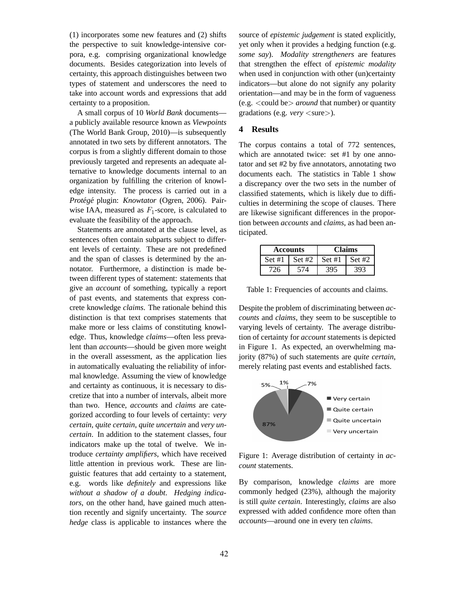(1) incorporates some new features and (2) shifts the perspective to suit knowledge-intensive corpora, e.g. comprising organizational knowledge documents. Besides categorization into levels of certainty, this approach distinguishes between two types of statement and underscores the need to take into account words and expressions that add certainty to a proposition.

A small corpus of 10 *World Bank* documents a publicly available resource known as *Viewpoints* (The World Bank Group, 2010)—is subsequently annotated in two sets by different annotators. The corpus is from a slightly different domain to those previously targeted and represents an adequate alternative to knowledge documents internal to an organization by fulfilling the criterion of knowledge intensity. The process is carried out in a *Proteg´ e´* plugin: *Knowtator* (Ogren, 2006). Pairwise IAA, measured as  $F_1$ -score, is calculated to evaluate the feasibility of the approach.

Statements are annotated at the clause level, as sentences often contain subparts subject to different levels of certainty. These are not predefined and the span of classes is determined by the annotator. Furthermore, a distinction is made between different types of statement: statements that give an *account* of something, typically a report of past events, and statements that express concrete knowledge *claims*. The rationale behind this distinction is that text comprises statements that make more or less claims of constituting knowledge. Thus, knowledge *claims*—often less prevalent than *accounts*—should be given more weight in the overall assessment, as the application lies in automatically evaluating the reliability of informal knowledge. Assuming the view of knowledge and certainty as continuous, it is necessary to discretize that into a number of intervals, albeit more than two. Hence, *accounts* and *claims* are categorized according to four levels of certainty: *very certain*, *quite certain*, *quite uncertain* and *very uncertain*. In addition to the statement classes, four indicators make up the total of twelve. We introduce *certainty amplifiers*, which have received little attention in previous work. These are linguistic features that add certainty to a statement, e.g. words like *definitely* and expressions like *without a shadow of a doubt*. *Hedging indicators*, on the other hand, have gained much attention recently and signify uncertainty. The *source hedge* class is applicable to instances where the

source of *epistemic judgement* is stated explicitly, yet only when it provides a hedging function (e.g. *some say*). *Modality strengtheners* are features that strengthen the effect of *epistemic modality* when used in conjunction with other (un)certainty indicators—but alone do not signify any polarity orientation—and may be in the form of vagueness (e.g. <could be> *around* that number) or quantity gradations (e.g. *very* <sure>).

## **4 Results**

The corpus contains a total of 772 sentences, which are annotated twice: set #1 by one annotator and set #2 by five annotators, annotating two documents each. The statistics in Table 1 show a discrepancy over the two sets in the number of classified statements, which is likely due to difficulties in determining the scope of clauses. There are likewise significant differences in the proportion between *accounts* and *claims*, as had been anticipated.

| Accounts |     | <b>Claims</b>                     |     |
|----------|-----|-----------------------------------|-----|
|          |     | Set #1   Set #2   Set #1   Set #2 |     |
| 726      | 574 | 395                               | 393 |

Table 1: Frequencies of accounts and claims.

Despite the problem of discriminating between *accounts* and *claims*, they seem to be susceptible to varying levels of certainty. The average distribution of certainty for *account* statements is depicted in Figure 1. As expected, an overwhelming majority (87%) of such statements are *quite certain*, merely relating past events and established facts.



Figure 1: Average distribution of certainty in *account* statements.

By comparison, knowledge *claims* are more commonly hedged (23%), although the majority is still *quite certain*. Interestingly, *claims* are also expressed with added confidence more often than *accounts*—around one in every ten *claims*.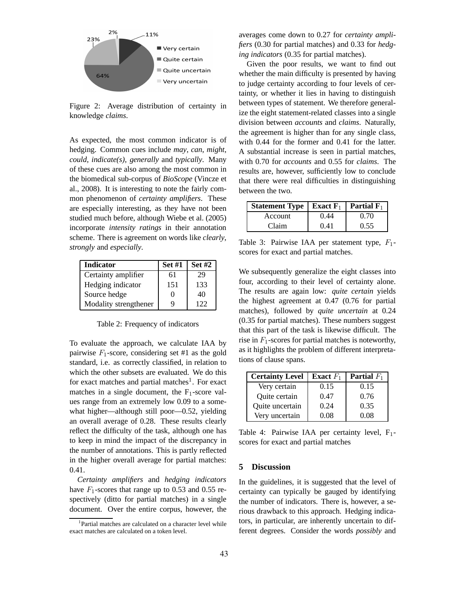

Figure 2: Average distribution of certainty in knowledge *claims*.

As expected, the most common indicator is of hedging. Common cues include *may*, *can*, *might*, *could*, *indicate(s)*, *generally* and *typically*. Many of these cues are also among the most common in the biomedical sub-corpus of *BioScope* (Vincze et al., 2008). It is interesting to note the fairly common phenomenon of *certainty amplifiers*. These are especially interesting, as they have not been studied much before, although Wiebe et al. (2005) incorporate *intensity ratings* in their annotation scheme. There is agreement on words like *clearly*, *strongly* and *especially*.

| <b>Indicator</b>      | <b>Set #1</b>     | <b>Set #2</b> |
|-----------------------|-------------------|---------------|
| Certainty amplifier   | 61                | 29            |
| Hedging indicator     | 151               | 133           |
| Source hedge          | $\mathbf{\Omega}$ | 40            |
| Modality strengthener | Q                 | 122           |

Table 2: Frequency of indicators

To evaluate the approach, we calculate IAA by pairwise  $F_1$ -score, considering set #1 as the gold standard, i.e. as correctly classified, in relation to which the other subsets are evaluated. We do this for exact matches and partial matches<sup>1</sup>. For exact matches in a single document, the  $F_1$ -score values range from an extremely low 0.09 to a somewhat higher—although still poor—0.52, yielding an overall average of 0.28. These results clearly reflect the difficulty of the task, although one has to keep in mind the impact of the discrepancy in the number of annotations. This is partly reflected in the higher overall average for partial matches: 0.41.

*Certainty amplifiers* and *hedging indicators* have  $F_1$ -scores that range up to 0.53 and 0.55 respectively (ditto for partial matches) in a single document. Over the entire corpus, however, the averages come down to 0.27 for *certainty amplifiers* (0.30 for partial matches) and 0.33 for *hedging indicators* (0.35 for partial matches).

Given the poor results, we want to find out whether the main difficulty is presented by having to judge certainty according to four levels of certainty, or whether it lies in having to distinguish between types of statement. We therefore generalize the eight statement-related classes into a single division between *accounts* and *claims*. Naturally, the agreement is higher than for any single class, with 0.44 for the former and 0.41 for the latter. A substantial increase is seen in partial matches, with 0.70 for *accounts* and 0.55 for *claims*. The results are, however, sufficiently low to conclude that there were real difficulties in distinguishing between the two.

| <b>Statement Type</b>   <b>Exact</b> $F_1$ |      | Partial $F_1$ |
|--------------------------------------------|------|---------------|
| Account                                    | 0.44 | 0.70          |
| Claim                                      | 0.41 | 0.55          |

Table 3: Pairwise IAA per statement type,  $F_1$ scores for exact and partial matches.

We subsequently generalize the eight classes into four, according to their level of certainty alone. The results are again low: *quite certain* yields the highest agreement at 0.47 (0.76 for partial matches), followed by *quite uncertain* at 0.24 (0.35 for partial matches). These numbers suggest that this part of the task is likewise difficult. The rise in  $F_1$ -scores for partial matches is noteworthy, as it highlights the problem of different interpretations of clause spans.

| <b>Certainty Level</b> | <b>Exact</b> $F_1$ | <b>Partial</b> $F_1$ |
|------------------------|--------------------|----------------------|
| Very certain           | 0.15               | 0.15                 |
| Quite certain          | 0.47               | 0.76                 |
| Quite uncertain        | 0.24               | 0.35                 |
| Very uncertain         | 0.08               | 0 O.S                |

Table 4: Pairwise IAA per certainty level, F<sub>1</sub>scores for exact and partial matches

#### **5 Discussion**

In the guidelines, it is suggested that the level of certainty can typically be gauged by identifying the number of indicators. There is, however, a serious drawback to this approach. Hedging indicators, in particular, are inherently uncertain to different degrees. Consider the words *possibly* and

<sup>&</sup>lt;sup>1</sup>Partial matches are calculated on a character level while exact matches are calculated on a token level.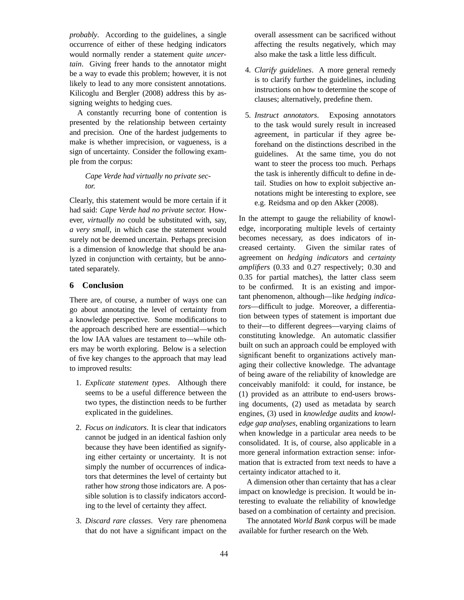*probably*. According to the guidelines, a single occurrence of either of these hedging indicators would normally render a statement *quite uncertain*. Giving freer hands to the annotator might be a way to evade this problem; however, it is not likely to lead to any more consistent annotations. Kilicoglu and Bergler (2008) address this by assigning weights to hedging cues.

A constantly recurring bone of contention is presented by the relationship between certainty and precision. One of the hardest judgements to make is whether imprecision, or vagueness, is a sign of uncertainty. Consider the following example from the corpus:

## *Cape Verde had virtually no private sector.*

Clearly, this statement would be more certain if it had said: *Cape Verde had no private sector.* However, *virtually no* could be substituted with, say, *a very small*, in which case the statement would surely not be deemed uncertain. Perhaps precision is a dimension of knowledge that should be analyzed in conjunction with certainty, but be annotated separately.

#### **6 Conclusion**

There are, of course, a number of ways one can go about annotating the level of certainty from a knowledge perspective. Some modifications to the approach described here are essential—which the low IAA values are testament to—while others may be worth exploring. Below is a selection of five key changes to the approach that may lead to improved results:

- 1. *Explicate statement types*. Although there seems to be a useful difference between the two types, the distinction needs to be further explicated in the guidelines.
- 2. *Focus on indicators*. It is clear that indicators cannot be judged in an identical fashion only because they have been identified as signifying either certainty or uncertainty. It is not simply the number of occurrences of indicators that determines the level of certainty but rather how *strong* those indicators are. A possible solution is to classify indicators according to the level of certainty they affect.
- 3. *Discard rare classes*. Very rare phenomena that do not have a significant impact on the

overall assessment can be sacrificed without affecting the results negatively, which may also make the task a little less difficult.

- 4. *Clarify guidelines*. A more general remedy is to clarify further the guidelines, including instructions on how to determine the scope of clauses; alternatively, predefine them.
- 5. *Instruct annotators*. Exposing annotators to the task would surely result in increased agreement, in particular if they agree beforehand on the distinctions described in the guidelines. At the same time, you do not want to steer the process too much. Perhaps the task is inherently difficult to define in detail. Studies on how to exploit subjective annotations might be interesting to explore, see e.g. Reidsma and op den Akker (2008).

In the attempt to gauge the reliability of knowledge, incorporating multiple levels of certainty becomes necessary, as does indicators of increased certainty. Given the similar rates of agreement on *hedging indicators* and *certainty amplifiers* (0.33 and 0.27 respectively; 0.30 and 0.35 for partial matches), the latter class seem to be confirmed. It is an existing and important phenomenon, although—like *hedging indicators*—difficult to judge. Moreover, a differentiation between types of statement is important due to their—to different degrees—varying claims of constituting knowledge. An automatic classifier built on such an approach could be employed with significant benefit to organizations actively managing their collective knowledge. The advantage of being aware of the reliability of knowledge are conceivably manifold: it could, for instance, be (1) provided as an attribute to end-users browsing documents, (2) used as metadata by search engines, (3) used in *knowledge audits* and *knowledge gap analyses*, enabling organizations to learn when knowledge in a particular area needs to be consolidated. It is, of course, also applicable in a more general information extraction sense: information that is extracted from text needs to have a certainty indicator attached to it.

A dimension other than certainty that has a clear impact on knowledge is precision. It would be interesting to evaluate the reliability of knowledge based on a combination of certainty and precision.

The annotated *World Bank* corpus will be made available for further research on the Web.